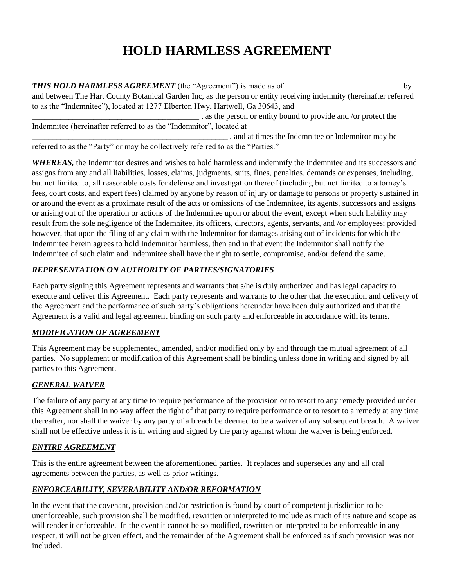# **HOLD HARMLESS AGREEMENT**

*THIS HOLD HARMLESS AGREEMENT* (the "Agreement") is made as of \_\_\_\_\_\_\_\_\_\_\_\_\_\_\_\_\_\_\_\_\_\_\_\_\_\_ by and between The Hart County Botanical Garden Inc, as the person or entity receiving indemnity (hereinafter referred to as the "Indemnitee"), located at 1277 Elberton Hwy, Hartwell, Ga 30643, and  $\Box$ , as the person or entity bound to provide and /or protect the Indemnitee (hereinafter referred to as the "Indemnitor", located at \_\_\_\_\_\_\_\_\_\_\_\_\_\_\_\_\_\_\_\_\_\_\_\_\_\_\_\_\_\_\_\_\_\_\_\_\_\_\_\_\_\_\_\_\_\_\_\_ , and at times the Indemnitee or Indemnitor may be

referred to as the "Party" or may be collectively referred to as the "Parties."

*WHEREAS,* the Indemnitor desires and wishes to hold harmless and indemnify the Indemnitee and its successors and assigns from any and all liabilities, losses, claims, judgments, suits, fines, penalties, demands or expenses, including, but not limited to, all reasonable costs for defense and investigation thereof (including but not limited to attorney's fees, court costs, and expert fees) claimed by anyone by reason of injury or damage to persons or property sustained in or around the event as a proximate result of the acts or omissions of the Indemnitee, its agents, successors and assigns or arising out of the operation or actions of the Indemnitee upon or about the event, except when such liability may result from the sole negligence of the Indemnitee, its officers, directors, agents, servants, and /or employees; provided however, that upon the filing of any claim with the Indemnitor for damages arising out of incidents for which the Indemnitee herein agrees to hold Indemnitor harmless, then and in that event the Indemnitor shall notify the Indemnitee of such claim and Indemnitee shall have the right to settle, compromise, and/or defend the same.

### *REPRESENTATION ON AUTHORITY OF PARTIES/SIGNATORIES*

Each party signing this Agreement represents and warrants that s/he is duly authorized and has legal capacity to execute and deliver this Agreement. Each party represents and warrants to the other that the execution and delivery of the Agreement and the performance of such party's obligations hereunder have been duly authorized and that the Agreement is a valid and legal agreement binding on such party and enforceable in accordance with its terms.

### *MODIFICATION OF AGREEMENT*

This Agreement may be supplemented, amended, and/or modified only by and through the mutual agreement of all parties. No supplement or modification of this Agreement shall be binding unless done in writing and signed by all parties to this Agreement.

### *GENERAL WAIVER*

The failure of any party at any time to require performance of the provision or to resort to any remedy provided under this Agreement shall in no way affect the right of that party to require performance or to resort to a remedy at any time thereafter, nor shall the waiver by any party of a breach be deemed to be a waiver of any subsequent breach. A waiver shall not be effective unless it is in writing and signed by the party against whom the waiver is being enforced.

### *ENTIRE AGREEMENT*

This is the entire agreement between the aforementioned parties. It replaces and supersedes any and all oral agreements between the parties, as well as prior writings.

## *ENFORCEABILITY, SEVERABILITY AND/OR REFORMATION*

In the event that the covenant, provision and /or restriction is found by court of competent jurisdiction to be unenforceable, such provision shall be modified, rewritten or interpreted to include as much of its nature and scope as will render it enforceable. In the event it cannot be so modified, rewritten or interpreted to be enforceable in any respect, it will not be given effect, and the remainder of the Agreement shall be enforced as if such provision was not included.